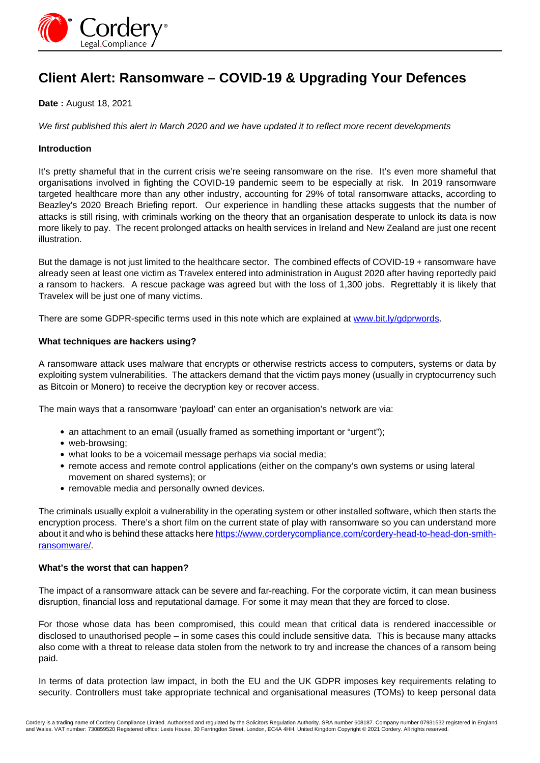

# **Client Alert: Ransomware – COVID-19 & Upgrading Your Defences**

## **Date :** August 18, 2021

We first published this alert in March 2020 and we have updated it to reflect more recent developments

### **Introduction**

It's pretty shameful that in the current crisis we're seeing ransomware on the rise. It's even more shameful that organisations involved in fighting the COVID-19 pandemic seem to be especially at risk. In 2019 ransomware targeted healthcare more than any other industry, accounting for 29% of total ransomware attacks, according to Beazley's 2020 Breach Briefing report. Our experience in handling these attacks suggests that the number of attacks is still rising, with criminals working on the theory that an organisation desperate to unlock its data is now more likely to pay. The recent prolonged attacks on health services in Ireland and New Zealand are just one recent illustration.

But the damage is not just limited to the healthcare sector. The combined effects of COVID-19 + ransomware have already seen at least one victim as Travelex entered into administration in August 2020 after having reportedly paid a ransom to hackers. A rescue package was agreed but with the loss of 1,300 jobs. Regrettably it is likely that Travelex will be just one of many victims.

There are some GDPR-specific terms used in this note which are explained at [www.bit.ly/gdprwords](http://www.bit.ly/gdprwords).

#### **What techniques are hackers using?**

A ransomware attack uses malware that encrypts or otherwise restricts access to computers, systems or data by exploiting system vulnerabilities. The attackers demand that the victim pays money (usually in cryptocurrency such as Bitcoin or Monero) to receive the decryption key or recover access.

The main ways that a ransomware 'payload' can enter an organisation's network are via:

- an attachment to an email (usually framed as something important or "urgent");
- web-browsing:
- what looks to be a voicemail message perhaps via social media;
- remote access and remote control applications (either on the company's own systems or using lateral movement on shared systems); or
- removable media and personally owned devices.

The criminals usually exploit a vulnerability in the operating system or other installed software, which then starts the encryption process. There's a short film on the current state of play with ransomware so you can understand more about it and who is behind these attacks here https://www.corderycompliance.com/cordery-head-to-head-don-smithransomware/.

#### **What's the worst that can happen?**

The impact of a ransomware attack can be severe and far-reaching. For the corporate victim, it can mean business disruption, financial loss and reputational damage. For some it may mean that they are forced to close.

For those whose data has been compromised, this could mean that critical data is rendered inaccessible or disclosed to unauthorised people – in some cases this could include sensitive data. This is because many attacks also come with a threat to release data stolen from the network to try and increase the chances of a ransom being paid.

In terms of data protection law impact, in both the EU and the UK GDPR imposes key requirements relating to security. Controllers must take appropriate technical and organisational measures (TOMs) to keep personal data